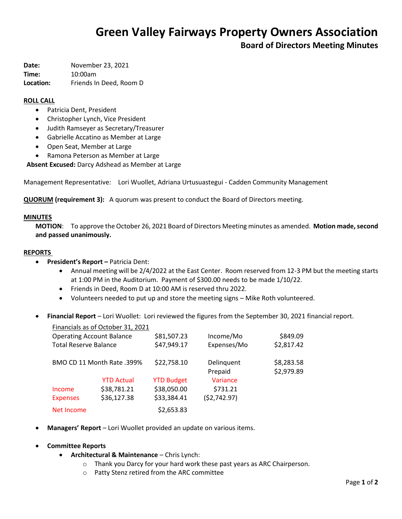# **Green Valley Fairways Property Owners Association**

**Board of Directors Meeting Minutes**

**Date:** November 23, 2021 **Time:** 10:00am **Location:** Friends In Deed, Room D

# **ROLL CALL**

- Patricia Dent, President
- Christopher Lynch, Vice President
- Judith Ramseyer as Secretary/Treasurer
- Gabrielle Accatino as Member at Large
- Open Seat, Member at Large
- Ramona Peterson as Member at Large

**Absent Excused:** Darcy Adshead as Member at Large

Management Representative: Lori Wuollet, Adriana Urtusuastegui - Cadden Community Management

**QUORUM (requirement 3):** A quorum was present to conduct the Board of Directors meeting.

#### **MINUTES**

**MOTION**: To approve the October 26, 2021 Board of Directors Meeting minutes as amended. **Motion made, second and passed unanimously.**

#### **REPORTS**

- **President's Report –** Patricia Dent:
	- Annual meeting will be 2/4/2022 at the East Center. Room reserved from 12-3 PM but the meeting starts at 1:00 PM in the Auditorium. Payment of \$300.00 needs to be made 1/10/22.
	- Friends in Deed, Room D at 10:00 AM is reserved thru 2022.
	- Volunteers needed to put up and store the meeting signs Mike Roth volunteered.
- **Financial Report** Lori Wuollet: Lori reviewed the figures from the September 30, 2021 financial report.

|                                  | Financials as of October 31, 2021 |                   |              |            |
|----------------------------------|-----------------------------------|-------------------|--------------|------------|
| <b>Operating Account Balance</b> |                                   | \$81,507.23       | Income/Mo    | \$849.09   |
| <b>Total Reserve Balance</b>     |                                   | \$47,949.17       | Expenses/Mo  | \$2,817.42 |
| BMO CD 11 Month Rate .399%       |                                   | \$22,758.10       | Delinquent   | \$8,283.58 |
|                                  |                                   |                   | Prepaid      | \$2,979.89 |
|                                  | <b>YTD Actual</b>                 | <b>YTD Budget</b> | Variance     |            |
| Income                           | \$38,781.21                       | \$38,050.00       | \$731.21     |            |
| <b>Expenses</b>                  | \$36,127.38                       | \$33,384.41       | (52, 742.97) |            |
| Net Income                       |                                   | \$2,653.83        |              |            |

**Managers' Report** – Lori Wuollet provided an update on various items.

#### **Committee Reports**

- **Architectural & Maintenance** Chris Lynch:
	- o Thank you Darcy for your hard work these past years as ARC Chairperson.
	- o Patty Stenz retired from the ARC committee